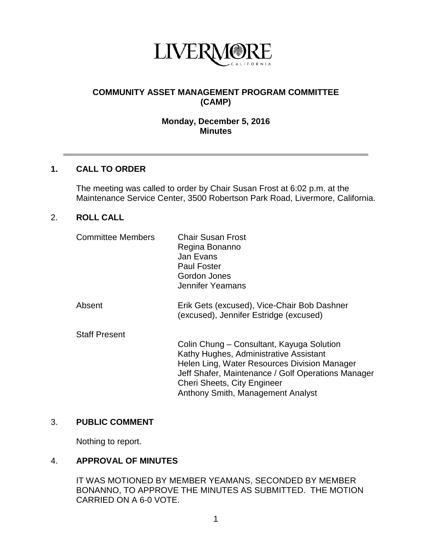

# **COMMUNITY ASSET MANAGEMENT PROGRAM COMMITTEE (CAMP)**

### **Monday, December 5, 2016 Minutes**

#### **1. CALL TO ORDER**

The meeting was called to order by Chair Susan Frost at 6:02 p.m. at the Maintenance Service Center, 3500 Robertson Park Road, Livermore, California.

# 2. **ROLL CALL**

| <b>Committee Members</b> | <b>Chair Susan Frost</b><br>Regina Bonanno<br>Jan Evans<br><b>Paul Foster</b><br>Gordon Jones<br>Jennifer Yeamans                                                                                                                                             |
|--------------------------|---------------------------------------------------------------------------------------------------------------------------------------------------------------------------------------------------------------------------------------------------------------|
| Absent                   | Erik Gets (excused), Vice-Chair Bob Dashner<br>(excused), Jennifer Estridge (excused)                                                                                                                                                                         |
| <b>Staff Present</b>     | Colin Chung – Consultant, Kayuga Solution<br>Kathy Hughes, Administrative Assistant<br>Helen Ling, Water Resources Division Manager<br>Jeff Shafer, Maintenance / Golf Operations Manager<br>Cheri Sheets, City Engineer<br>Anthony Smith, Management Analyst |

#### 3. **PUBLIC COMMENT**

Nothing to report.

#### 4. **APPROVAL OF MINUTES**

IT WAS MOTIONED BY MEMBER YEAMANS, SECONDED BY MEMBER BONANNO, TO APPROVE THE MINUTES AS SUBMITTED. THE MOTION CARRIED ON A 6-0 VOTE.